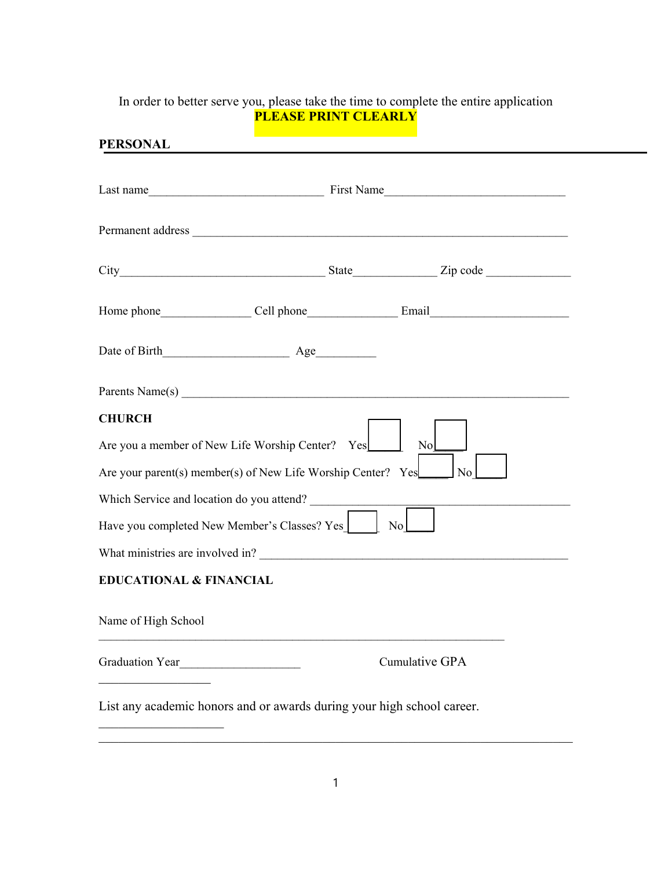## In order to better serve you, please take the time to complete the entire application **PLEASE PRINT CLEARLY**

| <b>PERSONAL</b>                                                                                                                                           |
|-----------------------------------------------------------------------------------------------------------------------------------------------------------|
|                                                                                                                                                           |
| Permanent address                                                                                                                                         |
|                                                                                                                                                           |
|                                                                                                                                                           |
|                                                                                                                                                           |
|                                                                                                                                                           |
| <b>CHURCH</b><br>Are you a member of New Life Worship Center? Yes<br>No<br>Are your parent(s) member(s) of New Life Worship Center? Yes<br>N <sub>o</sub> |
| Which Service and location do you attend?<br>Have you completed New Member's Classes? Yes<br>No                                                           |
|                                                                                                                                                           |
| <b>EDUCATIONAL &amp; FINANCIAL</b>                                                                                                                        |
| Name of High School                                                                                                                                       |
| Cumulative GPA                                                                                                                                            |
| List any academic honors and or awards during your high school career.                                                                                    |